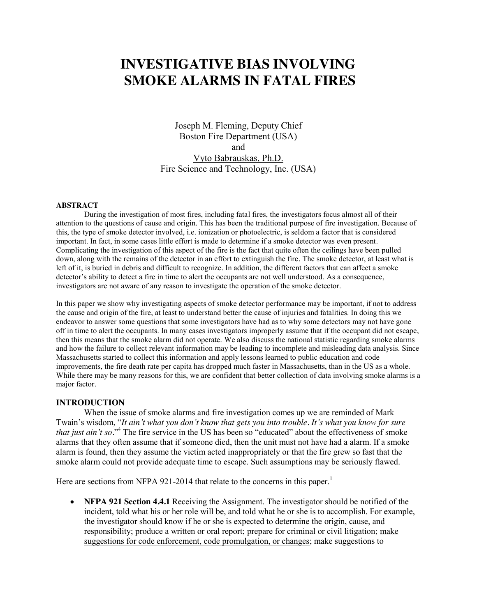# **INVESTIGATIVE BIAS INVOLVING SMOKE ALARMS IN FATAL FIRES**

Joseph M. Fleming, Deputy Chief Boston Fire Department (USA) and Vyto Babrauskas, Ph.D. Fire Science and Technology, Inc. (USA)

### **ABSTRACT**

During the investigation of most fires, including fatal fires, the investigators focus almost all of their attention to the questions of cause and origin. This has been the traditional purpose of fire investigation. Because of this, the type of smoke detector involved, i.e. ionization or photoelectric, is seldom a factor that is considered important. In fact, in some cases little effort is made to determine if a smoke detector was even present. Complicating the investigation of this aspect of the fire is the fact that quite often the ceilings have been pulled down, along with the remains of the detector in an effort to extinguish the fire. The smoke detector, at least what is left of it, is buried in debris and difficult to recognize. In addition, the different factors that can affect a smoke detector's ability to detect a fire in time to alert the occupants are not well understood. As a consequence, investigators are not aware of any reason to investigate the operation of the smoke detector.

In this paper we show why investigating aspects of smoke detector performance may be important, if not to address the cause and origin of the fire, at least to understand better the cause of injuries and fatalities. In doing this we endeavor to answer some questions that some investigators have had as to why some detectors may not have gone off in time to alert the occupants. In many cases investigators improperly assume that if the occupant did not escape, then this means that the smoke alarm did not operate. We also discuss the national statistic regarding smoke alarms and how the failure to collect relevant information may be leading to incomplete and misleading data analysis. Since Massachusetts started to collect this information and apply lessons learned to public education and code improvements, the fire death rate per capita has dropped much faster in Massachusetts, than in the US as a whole. While there may be many reasons for this, we are confident that better collection of data involving smoke alarms is a major factor.

# **INTRODUCTION**

When the issue of smoke alarms and fire investigation comes up we are reminded of Mark Twain's wisdom, "*It ain't what you don't know that gets you into trouble. It's what you know for sure that just ain't so.*" <sup>4</sup> The fire service in the US has been so "educated" about the effectiveness of smoke alarms that they often assume that if someone died, then the unit must not have had a alarm. If a smoke alarm is found, then they assume the victim acted inappropriately or that the fire grew so fast that the smoke alarm could not provide adequate time to escape. Such assumptions may be seriously flawed.

Here are sections from NFPA 921-2014 that relate to the concerns in this paper.<sup>1</sup>

**• NFPA 921 Section 4.4.1** Receiving the Assignment. The investigator should be notified of the incident, told what his or her role will be, and told what he or she is to accomplish. For example, the investigator should know if he or she is expected to determine the origin, cause, and responsibility; produce a written or oral report; prepare for criminal or civil litigation; make suggestions for code enforcement, code promulgation, or changes; make suggestions to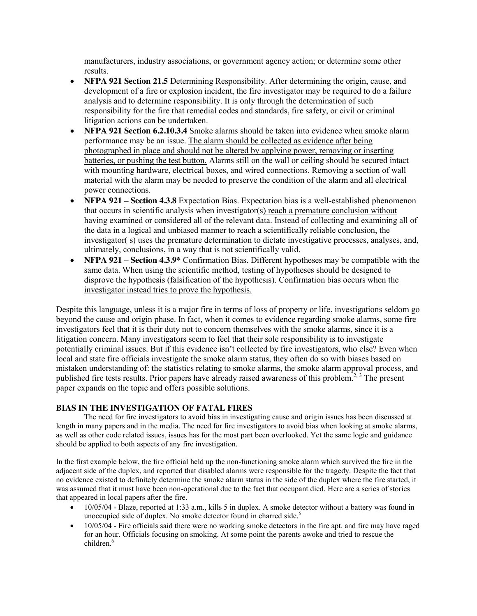manufacturers, industry associations, or government agency action; or determine some other results.

- **NFPA 921 Section 21.5** Determining Responsibility. After determining the origin, cause, and development of a fire or explosion incident, the fire investigator may be required to do a failure analysis and to determine responsibility. It is only through the determination of such responsibility for the fire that remedial codes and standards, fire safety, or civil or criminal litigation actions can be undertaken.
- x **NFPA 921 Section 6.2.10.3.4** Smoke alarms should be taken into evidence when smoke alarm performance may be an issue. The alarm should be collected as evidence after being photographed in place and should not be altered by applying power, removing or inserting batteries, or pushing the test button. Alarms still on the wall or ceiling should be secured intact with mounting hardware, electrical boxes, and wired connections. Removing a section of wall material with the alarm may be needed to preserve the condition of the alarm and all electrical power connections.
- **NFPA 921 Section 4.3.8** Expectation Bias. Expectation bias is a well-established phenomenon that occurs in scientific analysis when investigator(s) reach a premature conclusion without having examined or considered all of the relevant data. Instead of collecting and examining all of the data in a logical and unbiased manner to reach a scientifically reliable conclusion, the investigator( s) uses the premature determination to dictate investigative processes, analyses, and, ultimately, conclusions, in a way that is not scientifically valid.
- **NFPA 921 Section 4.3.9\*** Confirmation Bias. Different hypotheses may be compatible with the same data. When using the scientific method, testing of hypotheses should be designed to disprove the hypothesis (falsification of the hypothesis). Confirmation bias occurs when the investigator instead tries to prove the hypothesis.

Despite this language, unless it is a major fire in terms of loss of property or life, investigations seldom go beyond the cause and origin phase. In fact, when it comes to evidence regarding smoke alarms, some fire investigators feel that it is their duty not to concern themselves with the smoke alarms, since it is a litigation concern. Many investigators seem to feel that their sole responsibility is to investigate potentially criminal issues. But if this evidence isn't collected by fire investigators, who else? Even when local and state fire officials investigate the smoke alarm status, they often do so with biases based on mistaken understanding of: the statistics relating to smoke alarms, the smoke alarm approval process, and published fire tests results. Prior papers have already raised awareness of this problem.<sup>2, 3</sup> The present paper expands on the topic and offers possible solutions.

# **BIAS IN THE INVESTIGATION OF FATAL FIRES**

The need for fire investigators to avoid bias in investigating cause and origin issues has been discussed at length in many papers and in the media. The need for fire investigators to avoid bias when looking at smoke alarms, as well as other code related issues, issues has for the most part been overlooked. Yet the same logic and guidance should be applied to both aspects of any fire investigation.

In the first example below, the fire official held up the non-functioning smoke alarm which survived the fire in the adjacent side of the duplex, and reported that disabled alarms were responsible for the tragedy. Despite the fact that no evidence existed to definitely determine the smoke alarm status in the side of the duplex where the fire started, it was assumed that it must have been non-operational due to the fact that occupant died. Here are a series of stories that appeared in local papers after the fire.

- x 10/05/04 Blaze, reported at 1:33 a.m., kills 5 in duplex. A smoke detector without a battery was found in unoccupied side of duplex. No smoke detector found in charred side.<sup>5</sup>
- x 10/05/04 Fire officials said there were no working smoke detectors in the fire apt. and fire may have raged for an hour. Officials focusing on smoking. At some point the parents awoke and tried to rescue the children.<sup>6</sup>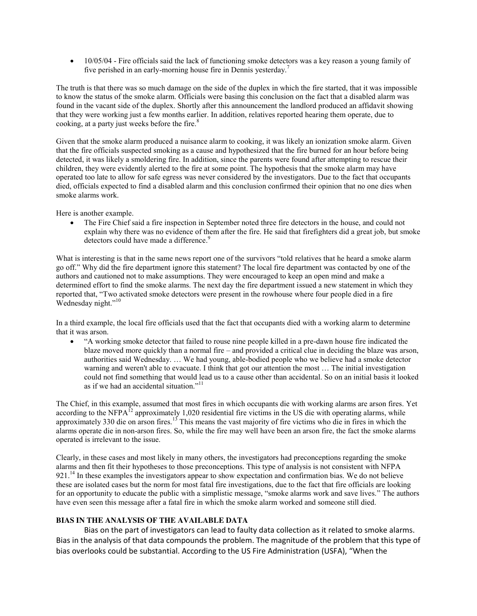$\bullet$  10/05/04 - Fire officials said the lack of functioning smoke detectors was a key reason a young family of five perished in an early-morning house fire in Dennis yesterday.<sup>7</sup>

The truth is that there was so much damage on the side of the duplex in which the fire started, that it was impossible to know the status of the smoke alarm. Officials were basing this conclusion on the fact that a disabled alarm was found in the vacant side of the duplex. Shortly after this announcement the landlord produced an affidavit showing that they were working just a few months earlier. In addition, relatives reported hearing them operate, due to cooking, at a party just weeks before the fire.<sup>8</sup>

Given that the smoke alarm produced a nuisance alarm to cooking, it was likely an ionization smoke alarm. Given that the fire officials suspected smoking as a cause and hypothesized that the fire burned for an hour before being detected, it was likely a smoldering fire. In addition, since the parents were found after attempting to rescue their children, they were evidently alerted to the fire at some point. The hypothesis that the smoke alarm may have operated too late to allow for safe egress was never considered by the investigators. Due to the fact that occupants died, officials expected to find a disabled alarm and this conclusion confirmed their opinion that no one dies when smoke alarms work.

Here is another example.

The Fire Chief said a fire inspection in September noted three fire detectors in the house, and could not explain why there was no evidence of them after the fire. He said that firefighters did a great job, but smoke detectors could have made a difference.<sup>9</sup>

What is interesting is that in the same news report one of the survivors "told relatives that he heard a smoke alarm go off." Why did the fire department ignore this statement? The local fire department was contacted by one of the authors and cautioned not to make assumptions. They were encouraged to keep an open mind and make a determined effort to find the smoke alarms. The next day the fire department issued a new statement in which they reported that, "Two activated smoke detectors were present in the rowhouse where four people died in a fire Wednesday night."<sup>10</sup>

In a third example, the local fire officials used that the fact that occupants died with a working alarm to determine that it was arson.

x "A working smoke detector that failed to rouse nine people killed in a pre-dawn house fire indicated the blaze moved more quickly than a normal fire – and provided a critical clue in deciding the blaze was arson, authorities said Wednesday. … We had young, able-bodied people who we believe had a smoke detector warning and weren't able to evacuate. I think that got our attention the most … The initial investigation could not find something that would lead us to a cause other than accidental. So on an initial basis it looked as if we had an accidental situation."<sup>11</sup>

The Chief, in this example, assumed that most fires in which occupants die with working alarms are arson fires. Yet according to the NFPA<sup> $12$ </sup> approximately 1,020 residential fire victims in the US die with operating alarms, while approximately 330 die on arson fires.<sup>13</sup> This means the vast majority of fire victims who die in fires in which the alarms operate die in non-arson fires. So, while the fire may well have been an arson fire, the fact the smoke alarms operated is irrelevant to the issue.

Clearly, in these cases and most likely in many others, the investigators had preconceptions regarding the smoke alarms and then fit their hypotheses to those preconceptions. This type of analysis is not consistent with NFPA 921.<sup>14</sup> In these examples the investigators appear to show expectation and confirmation bias. We do not believe these are isolated cases but the norm for most fatal fire investigations, due to the fact that fire officials are looking for an opportunity to educate the public with a simplistic message, "smoke alarms work and save lives." The authors have even seen this message after a fatal fire in which the smoke alarm worked and someone still died.

# **BIAS IN THE ANALYSIS OF THE AVAILABLE DATA**

Bias on the part of investigators can lead to faulty data collection as it related to smoke alarms. Bias in the analysis of that data compounds the problem. The magnitude of the problem that this type of bias overlooks could be substantial. According to the US Fire Administration (USFA), "When the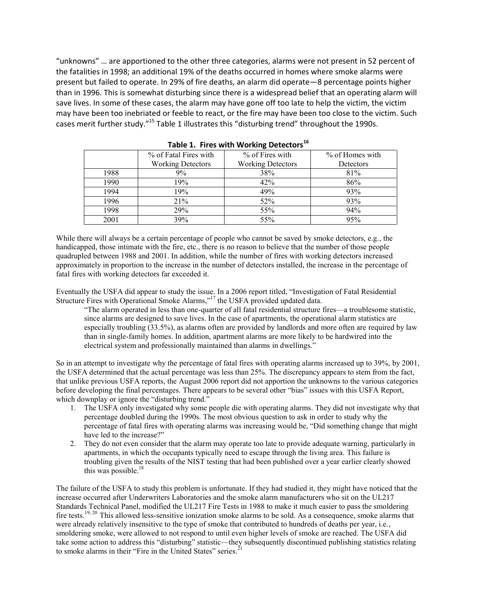"unknowns" … are apportioned to the other three categories, alarms were not present in 52 percent of the fatalities in 1998; an additional 19% of the deaths occurred in homes where smoke alarms were present but failed to operate. In 29% of fire deaths, an alarm did operate—8 percentage points higher than in 1996. This is somewhat disturbing since there is a widespread belief that an operating alarm will save lives. In some of these cases, the alarm may have gone off too late to help the victim, the victim may have been too inebriated or feeble to react, or the fire may have been too close to the victim. Such cases merit further study."<sup>15</sup> Table 1 illustrates this "disturbing trend" throughout the 1990s.

|      | % of Fatal Fires with    | % of Fires with          | % of Homes with |
|------|--------------------------|--------------------------|-----------------|
|      | <b>Working Detectors</b> | <b>Working Detectors</b> | Detectors       |
| 1988 | 9%                       | 38%                      | 81%             |
| 1990 | 19%                      | 42%                      | 86%             |
| 1994 | 19%                      | 49%                      | 93%             |
| 1996 | 21%                      | 52%                      | 93%             |
| 1998 | 29%                      | 55%                      | 94%             |
| 2001 | 39%                      | 55%                      | 95%             |

**Table 1. Fires with Working Detectors<sup>16</sup>**

While there will always be a certain percentage of people who cannot be saved by smoke detectors, e.g., the handicapped, those intimate with the fire, etc., there is no reason to believe that the number of those people quadrupled between 1988 and 2001. In addition, while the number of fires with working detectors increased approximately in proportion to the increase in the number of detectors installed, the increase in the percentage of fatal fires with working detectors far exceeded it.

Eventually the USFA did appear to study the issue. In a 2006 report titled, "Investigation of Fatal Residential Structure Fires with Operational Smoke Alarms,"<sup>17</sup> the USFA provided updated data.

"The alarm operated in less than one-quarter of all fatal residential structure fires—a troublesome statistic, since alarms are designed to save lives. In the case of apartments, the operational alarm statistics are especially troubling (33.5%), as alarms often are provided by landlords and more often are required by law than in single-family homes. In addition, apartment alarms are more likely to be hardwired into the electrical system and professionally maintained than alarms in dwellings."

So in an attempt to investigate why the percentage of fatal fires with operating alarms increased up to 39%, by 2001, the USFA determined that the actual percentage was less than 25%. The discrepancy appears to stem from the fact, that unlike previous USFA reports, the August 2006 report did not apportion the unknowns to the various categories before developing the final percentages. There appears to be several other "bias" issues with this USFA Report, which downplay or ignore the "disturbing trend."

- 1. The USFA only investigated why some people die with operating alarms. They did not investigate why that percentage doubled during the 1990s. The most obvious question to ask in order to study why the percentage of fatal fires with operating alarms was increasing would be, "Did something change that might have led to the increase?"
- 2. They do not even consider that the alarm may operate too late to provide adequate warning, particularly in apartments, in which the occupants typically need to escape through the living area. This failure is troubling given the results of the NIST testing that had been published over a year earlier clearly showed this was possible. 18

The failure of the USFA to study this problem is unfortunate. If they had studied it, they might have noticed that the increase occurred after Underwriters Laboratories and the smoke alarm manufacturers who sit on the UL217 Standards Technical Panel, modified the UL217 Fire Tests in 1988 to make it much easier to pass the smoldering fire tests.<sup>19, 20</sup> This allowed less-sensitive ionization smoke alarms to be sold. As a consequence, smoke alarms that were already relatively insensitive to the type of smoke that contributed to hundreds of deaths per year, i.e., smoldering smoke, were allowed to not respond to until even higher levels of smoke are reached. The USFA did take some action to address this "disturbing" statistic—they subsequently discontinued publishing statistics relating to smoke alarms in their "Fire in the United States" series.<sup>2</sup>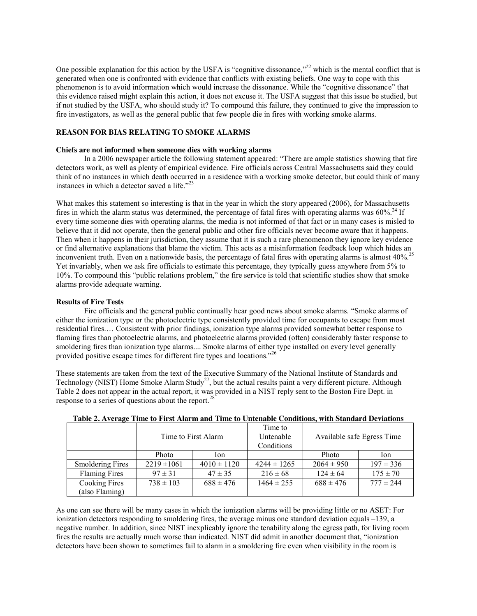One possible explanation for this action by the USFA is "cognitive dissonance,"<sup>22</sup> which is the mental conflict that is generated when one is confronted with evidence that conflicts with existing beliefs. One way to cope with this phenomenon is to avoid information which would increase the dissonance. While the "cognitive dissonance" that this evidence raised might explain this action, it does not excuse it. The USFA suggest that this issue be studied, but if not studied by the USFA, who should study it? To compound this failure, they continued to give the impression to fire investigators, as well as the general public that few people die in fires with working smoke alarms.

#### **REASON FOR BIAS RELATING TO SMOKE ALARMS**

#### **Chiefs are not informed when someone dies with working alarms**

In a 2006 newspaper article the following statement appeared: "There are ample statistics showing that fire detectors work, as well as plenty of empirical evidence. Fire officials across Central Massachusetts said they could think of no instances in which death occurred in a residence with a working smoke detector, but could think of many instances in which a detector saved a life. $123$ 

What makes this statement so interesting is that in the year in which the story appeared (2006), for Massachusetts fires in which the alarm status was determined, the percentage of fatal fires with operating alarms was  $60\%$ <sup>24</sup> If every time someone dies with operating alarms, the media is not informed of that fact or in many cases is misled to believe that it did not operate, then the general public and other fire officials never become aware that it happens. Then when it happens in their jurisdiction, they assume that it is such a rare phenomenon they ignore key evidence or find alternative explanations that blame the victim. This acts as a misinformation feedback loop which hides an inconvenient truth. Even on a nationwide basis, the percentage of fatal fires with operating alarms is almost 40%.<sup>25</sup> Yet invariably, when we ask fire officials to estimate this percentage, they typically guess anywhere from 5% to 10%. To compound this "public relations problem," the fire service is told that scientific studies show that smoke alarms provide adequate warning.

#### **Results of Fire Tests**

Fire officials and the general public continually hear good news about smoke alarms. "Smoke alarms of either the ionization type or the photoelectric type consistently provided time for occupants to escape from most residential fires.… Consistent with prior findings, ionization type alarms provided somewhat better response to flaming fires than photoelectric alarms, and photoelectric alarms provided (often) considerably faster response to smoldering fires than ionization type alarms.... Smoke alarms of either type installed on every level generally provided positive escape times for different fire types and locations."26

These statements are taken from the text of the Executive Summary of the National Institute of Standards and Technology (NIST) Home Smoke Alarm Study<sup>27</sup>, but the actual results paint a very different picture. Although Table 2 does not appear in the actual report, it was provided in a NIST reply sent to the Boston Fire Dept. in response to a series of questions about the report.<sup>28</sup>

|                         | Time to First Alarm |                 | Time to<br>Untenable<br>Conditions | Available safe Egress Time |               |
|-------------------------|---------------------|-----------------|------------------------------------|----------------------------|---------------|
|                         | Photo               | Ion             |                                    | Photo                      | Ion           |
| <b>Smoldering Fires</b> | $2219 \pm 1061$     | $4010 \pm 1120$ | $4244 \pm 1265$                    | $2064 \pm 950$             | $197 \pm 336$ |
| <b>Flaming Fires</b>    | $97 \pm 31$         | $47 \pm 35$     | $216 \pm 68$                       | $124 \pm 64$               | $175 \pm 70$  |
| Cooking Fires           | $738 \pm 103$       | $688 \pm 476$   | $1464 \pm 255$                     | $688 \pm 476$              | $777 \pm 244$ |
| (also Flaming)          |                     |                 |                                    |                            |               |

|  | Table 2. Average Time to First Alarm and Time to Untenable Conditions, with Standard Deviations |  |  |  |  |  |  |  |
|--|-------------------------------------------------------------------------------------------------|--|--|--|--|--|--|--|
|--|-------------------------------------------------------------------------------------------------|--|--|--|--|--|--|--|

As one can see there will be many cases in which the ionization alarms will be providing little or no ASET: For ionization detectors responding to smoldering fires, the average minus one standard deviation equals –139, a negative number. In addition, since NIST inexplicably ignore the tenability along the egress path, for living room fires the results are actually much worse than indicated. NIST did admit in another document that, "ionization detectors have been shown to sometimes fail to alarm in a smoldering fire even when visibility in the room is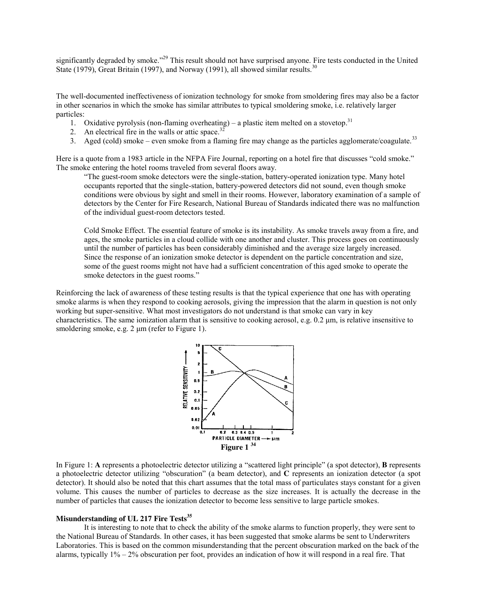significantly degraded by smoke."<sup>29</sup> This result should not have surprised anyone. Fire tests conducted in the United State (1979), Great Britain (1997), and Norway (1991), all showed similar results.<sup>30</sup>

The well-documented ineffectiveness of ionization technology for smoke from smoldering fires may also be a factor in other scenarios in which the smoke has similar attributes to typical smoldering smoke, i.e. relatively larger particles:

- 1. Oxidative pyrolysis (non-flaming overheating) a plastic item melted on a stovetop.<sup>31</sup>
- 2. An electrical fire in the walls or attic space.<sup>32</sup>
- 3. Aged (cold) smoke even smoke from a flaming fire may change as the particles agglomerate/coagulate.<sup>33</sup>

Here is a quote from a 1983 article in the NFPA Fire Journal, reporting on a hotel fire that discusses "cold smoke." The smoke entering the hotel rooms traveled from several floors away.

"The guest-room smoke detectors were the single-station, battery-operated ionization type. Many hotel occupants reported that the single-station, battery-powered detectors did not sound, even though smoke conditions were obvious by sight and smell in their rooms. However, laboratory examination of a sample of detectors by the Center for Fire Research, National Bureau of Standards indicated there was no malfunction of the individual guest-room detectors tested.

Cold Smoke Effect. The essential feature of smoke is its instability. As smoke travels away from a fire, and ages, the smoke particles in a cloud collide with one another and cluster. This process goes on continuously until the number of particles has been considerably diminished and the average size largely increased. Since the response of an ionization smoke detector is dependent on the particle concentration and size, some of the guest rooms might not have had a sufficient concentration of this aged smoke to operate the smoke detectors in the guest rooms."

Reinforcing the lack of awareness of these testing results is that the typical experience that one has with operating smoke alarms is when they respond to cooking aerosols, giving the impression that the alarm in question is not only working but super-sensitive. What most investigators do not understand is that smoke can vary in key characteristics. The same ionization alarm that is sensitive to cooking aerosol, e.g. 0.2 μm, is relative insensitive to smoldering smoke, e.g. 2 μm (refer to Figure 1).



In Figure 1: **A** represents a photoelectric detector utilizing a "scattered light principle" (a spot detector), **B** represents a photoelectric detector utilizing "obscuration" (a beam detector), and **C** represents an ionization detector (a spot detector). It should also be noted that this chart assumes that the total mass of particulates stays constant for a given volume. This causes the number of particles to decrease as the size increases. It is actually the decrease in the number of particles that causes the ionization detector to become less sensitive to large particle smokes.

#### **Misunderstanding of UL 217 Fire Tests<sup>35</sup>**

It is interesting to note that to check the ability of the smoke alarms to function properly, they were sent to the National Bureau of Standards. In other cases, it has been suggested that smoke alarms be sent to Underwriters Laboratories. This is based on the common misunderstanding that the percent obscuration marked on the back of the alarms, typically 1% – 2% obscuration per foot, provides an indication of how it will respond in a real fire. That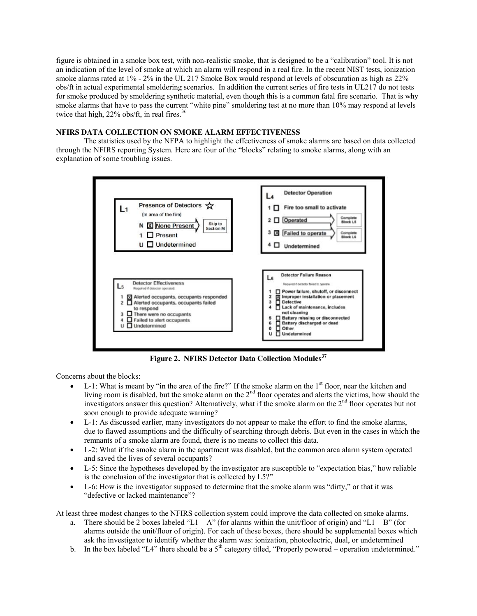figure is obtained in a smoke box test, with non-realistic smoke, that is designed to be a "calibration" tool. It is not an indication of the level of smoke at which an alarm will respond in a real fire. In the recent NIST tests, ionization smoke alarms rated at 1% - 2% in the UL 217 Smoke Box would respond at levels of obscuration as high as 22% obs/ft in actual experimental smoldering scenarios. In addition the current series of fire tests in UL217 do not tests for smoke produced by smoldering synthetic material, even though this is a common fatal fire scenario. That is why smoke alarms that have to pass the current "white pine" smoldering test at no more than 10% may respond at levels twice that high,  $22\%$  obs/ft, in real fires.<sup>36</sup>

### **NFIRS DATA COLLECTION ON SMOKE ALARM EFFECTIVENESS**

The statistics used by the NFPA to highlight the effectiveness of smoke alarms are based on data collected through the NFIRS reporting System. Here are four of the "blocks" relating to smoke alarms, along with an explanation of some troubling issues.



**Figure 2. NFIRS Detector Data Collection Modules<sup>37</sup>**

Concerns about the blocks:

- L-1: What is meant by "in the area of the fire?" If the smoke alarm on the  $1<sup>st</sup>$  floor, near the kitchen and living room is disabled, but the smoke alarm on the 2<sup>nd</sup> floor operates and alerts the victims, how should the investigators answer this question? Alternatively, what if the smoke alarm on the 2<sup>nd</sup> floor operates but not soon enough to provide adequate warning?
- $\bullet$  L-1: As discussed earlier, many investigators do not appear to make the effort to find the smoke alarms, due to flawed assumptions and the difficulty of searching through debris. But even in the cases in which the remnants of a smoke alarm are found, there is no means to collect this data.
- L-2: What if the smoke alarm in the apartment was disabled, but the common area alarm system operated and saved the lives of several occupants?
- L-5: Since the hypotheses developed by the investigator are susceptible to "expectation bias," how reliable is the conclusion of the investigator that is collected by L5?"
- L-6: How is the investigator supposed to determine that the smoke alarm was "dirty," or that it was "defective or lacked maintenance"?

At least three modest changes to the NFIRS collection system could improve the data collected on smoke alarms.

- a. There should be 2 boxes labeled "L1 A" (for alarms within the unit/floor of origin) and "L1 B" (for alarms outside the unit/floor of origin). For each of these boxes, there should be supplemental boxes which ask the investigator to identify whether the alarm was: ionization, photoelectric, dual, or undetermined
- b. In the box labeled "L4" there should be a  $5<sup>th</sup>$  category titled, "Properly powered operation undetermined."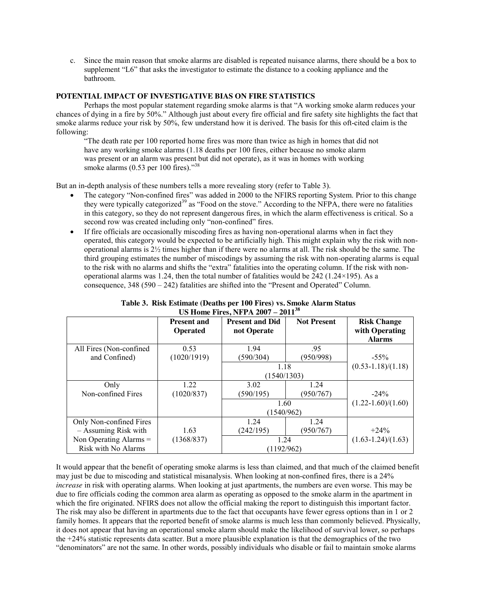c. Since the main reason that smoke alarms are disabled is repeated nuisance alarms, there should be a box to supplement "L6" that asks the investigator to estimate the distance to a cooking appliance and the bathroom.

# **POTENTIAL IMPACT OF INVESTIGATIVE BIAS ON FIRE STATISTICS**

Perhaps the most popular statement regarding smoke alarms is that "A working smoke alarm reduces your chances of dying in a fire by 50%." Although just about every fire official and fire safety site highlights the fact that smoke alarms reduce your risk by 50%, few understand how it is derived. The basis for this oft-cited claim is the following:

"The death rate per 100 reported home fires was more than twice as high in homes that did not have any working smoke alarms (1.18 deaths per 100 fires, either because no smoke alarm was present or an alarm was present but did not operate), as it was in homes with working smoke alarms (0.53 per 100 fires)."<sup>38</sup>

But an in-depth analysis of these numbers tells a more revealing story (refer to Table 3).

- x The category "Non-confined fires" was added in 2000 to the NFIRS reporting System. Prior to this change they were typically categorized<sup>39</sup> as "Food on the stove." According to the NFPA, there were no fatalities in this category, so they do not represent dangerous fires, in which the alarm effectiveness is critical. So a second row was created including only "non-confined" fires.
- If fire officials are occasionally miscoding fires as having non-operational alarms when in fact they operated, this category would be expected to be artificially high. This might explain why the risk with nonoperational alarms is  $2\frac{1}{2}$  times higher than if there were no alarms at all. The risk should be the same. The third grouping estimates the number of miscodings by assuming the risk with non-operating alarms is equal to the risk with no alarms and shifts the "extra" fatalities into the operating column. If the risk with nonoperational alarms was 1.24, then the total number of fatalities would be  $242$  (1.24×195). As a consequence,  $348 (590 - 242)$  fatalities are shifted into the "Present and Operated" Column.

| $\frac{1}{2}$            |                    |                        |                    |                          |  |  |  |  |
|--------------------------|--------------------|------------------------|--------------------|--------------------------|--|--|--|--|
|                          | <b>Present and</b> | <b>Present and Did</b> | <b>Not Present</b> | <b>Risk Change</b>       |  |  |  |  |
|                          | <b>Operated</b>    | not Operate            |                    | with Operating           |  |  |  |  |
|                          |                    |                        |                    | <b>Alarms</b>            |  |  |  |  |
| All Fires (Non-confined  | 0.53               | 1.94                   | .95                |                          |  |  |  |  |
| and Confined)            | (1020/1919)        | (590/304)              | (950/998)          | $-55\%$                  |  |  |  |  |
|                          |                    | 1.18                   |                    | $(0.53 - 1.18) / (1.18)$ |  |  |  |  |
|                          |                    | (1540/1303)            |                    |                          |  |  |  |  |
| Only                     | 1.22               | 3.02                   | 1.24               |                          |  |  |  |  |
| Non-confined Fires       | (1020/837)         | (590/195)              | (950/767)          | $-24\%$                  |  |  |  |  |
|                          |                    | 1.60                   |                    | $(1.22 - 1.60) / (1.60)$ |  |  |  |  |
|                          |                    | (1540/962)             |                    |                          |  |  |  |  |
| Only Non-confined Fires  |                    | 1.24                   | 1.24               |                          |  |  |  |  |
| - Assuming Risk with     | 1.63               | (242/195)              | (950/767)          | $+24\%$                  |  |  |  |  |
| Non Operating Alarms $=$ | (1368/837)         | 1.24                   |                    | $(1.63 - 1.24) / (1.63)$ |  |  |  |  |
| Risk with No Alarms      |                    | (1192/962)             |                    |                          |  |  |  |  |

| Table 3. Risk Estimate (Deaths per 100 Fires) vs. Smoke Alarm Status |  |  |  |  |  |
|----------------------------------------------------------------------|--|--|--|--|--|
| US Home Fires, NFPA $2007 - 2011^{38}$                               |  |  |  |  |  |

It would appear that the benefit of operating smoke alarms is less than claimed, and that much of the claimed benefit may just be due to miscoding and statistical misanalysis. When looking at non-confined fires, there is a 24% *increase* in risk with operating alarms. When looking at just apartments, the numbers are even worse. This may be due to fire officials coding the common area alarm as operating as opposed to the smoke alarm in the apartment in which the fire originated. NFIRS does not allow the official making the report to distinguish this important factor. The risk may also be different in apartments due to the fact that occupants have fewer egress options than in 1 or 2 family homes. It appears that the reported benefit of smoke alarms is much less than commonly believed. Physically, it does not appear that having an operational smoke alarm should make the likelihood of survival lower, so perhaps the +24% statistic represents data scatter. But a more plausible explanation is that the demographics of the two "denominators" are not the same. In other words, possibly individuals who disable or fail to maintain smoke alarms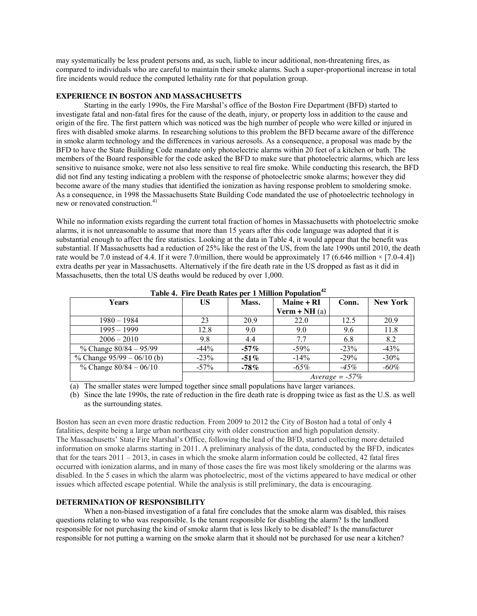may systematically be less prudent persons and, as such, liable to incur additional, non-threatening fires, as compared to individuals who are careful to maintain their smoke alarms. Such a super-proportional increase in total fire incidents would reduce the computed lethality rate for that population group.

## **EXPERIENCE IN BOSTON AND MASSACHUSETTS**

Starting in the early 1990s, the Fire Marshal's office of the Boston Fire Department (BFD) started to investigate fatal and non-fatal fires for the cause of the death, injury, or property loss in addition to the cause and origin of the fire. The first pattern which was noticed was the high number of people who were killed or injured in fires with disabled smoke alarms. In researching solutions to this problem the BFD became aware of the difference in smoke alarm technology and the differences in various aerosols. As a consequence, a proposal was made by the BFD to have the State Building Code mandate only photoelectric alarms within 20 feet of a kitchen or bath. The members of the Board responsible for the code asked the BFD to make sure that photoelectric alarms, which are less sensitive to nuisance smoke, were not also less sensitive to real fire smoke. While conducting this research, the BFD did not find any testing indicating a problem with the response of photoelectric smoke alarms; however they did become aware of the many studies that identified the ionization as having response problem to smoldering smoke. As a consequence, in 1998 the Massachusetts State Building Code mandated the use of photoelectric technology in new or renovated construction.<sup>41</sup>

While no information exists regarding the current total fraction of homes in Massachusetts with photoelectric smoke alarms, it is not unreasonable to assume that more than 15 years after this code language was adopted that it is substantial enough to affect the fire statistics. Looking at the data in Table 4, it would appear that the benefit was substantial. If Massachusetts had a reduction of 25% like the rest of the US, from the late 1990s until 2010, the death rate would be 7.0 instead of 4.4. If it were 7.0/million, there would be approximately 17 (6.646 million  $\times$  [7.0-4.4]) extra deaths per year in Massachusetts. Alternatively if the fire death rate in the US dropped as fast as it did in Massachusetts, then the total US deaths would be reduced by over 1,000.

| <b>Years</b>                 | US      | Mass.   | Maine + RI        | Conn.  | <b>New York</b> |  |
|------------------------------|---------|---------|-------------------|--------|-----------------|--|
|                              |         |         | Verm + $NH(a)$    |        |                 |  |
| $1980 - 1984$                | 23      | 20.9    | 22.0              | 12.5   | 20.9            |  |
| $1995 - 1999$                | 12.8    | 9.0     | 9.0               | 9.6    | 11.8            |  |
| $2006 - 2010$                | 9.8     | 4.4     | 7.7               | 6.8    | 8.2             |  |
| % Change $80/84 - 95/99$     | $-44\%$ | $-57\%$ | $-59\%$           | $-23%$ | $-43%$          |  |
| % Change $95/99 - 06/10$ (b) | $-23%$  | $-51\%$ | $-14\%$           | $-29%$ | $-30\%$         |  |
| % Change $80/84 - 06/10$     | $-57\%$ | $-78\%$ | $-65\%$           | $-45%$ | $-60\%$         |  |
|                              |         |         | $Average = -57\%$ |        |                 |  |

**Table 4. Fire Death Rates per 1 Million Population<sup>42</sup>**

(a) The smaller states were lumped together since small populations have larger variances.

(b) Since the late 1990s, the rate of reduction in the fire death rate is dropping twice as fast as the U.S. as well as the surrounding states.

Boston has seen an even more drastic reduction. From 2009 to 2012 the City of Boston had a total of only 4 fatalities, despite being a large urban northeast city with older construction and high population density. The Massachusetts' State Fire Marshal's Office, following the lead of the BFD, started collecting more detailed information on smoke alarms starting in 2011. A preliminary analysis of the data, conducted by the BFD, indicates that for the tears  $2011 - 2013$ , in cases in which the smoke alarm information could be collected, 42 fatal fires occurred with ionization alarms, and in many of those cases the fire was most likely smoldering or the alarms was disabled. In the 5 cases in which the alarm was photoelectric, most of the victims appeared to have medical or other issues which affected escape potential. While the analysis is still preliminary, the data is encouraging.

#### **DETERMINATION OF RESPONSIBILITY**

When a non-biased investigation of a fatal fire concludes that the smoke alarm was disabled, this raises questions relating to who was responsible. Is the tenant responsible for disabling the alarm? Is the landlord responsible for not purchasing the kind of smoke alarm that is less likely to be disabled? Is the manufacturer responsible for not putting a warning on the smoke alarm that it should not be purchased for use near a kitchen?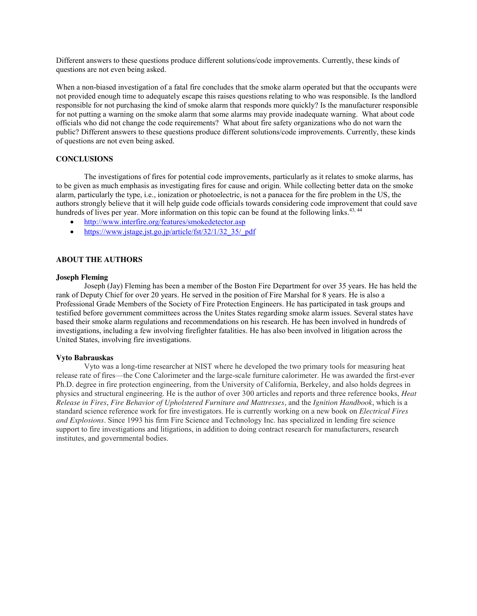Different answers to these questions produce different solutions/code improvements. Currently, these kinds of questions are not even being asked.

When a non-biased investigation of a fatal fire concludes that the smoke alarm operated but that the occupants were not provided enough time to adequately escape this raises questions relating to who was responsible. Is the landlord responsible for not purchasing the kind of smoke alarm that responds more quickly? Is the manufacturer responsible for not putting a warning on the smoke alarm that some alarms may provide inadequate warning. What about code officials who did not change the code requirements? What about fire safety organizations who do not warn the public? Different answers to these questions produce different solutions/code improvements. Currently, these kinds of questions are not even being asked.

### **CONCLUSIONS**

The investigations of fires for potential code improvements, particularly as it relates to smoke alarms, has to be given as much emphasis as investigating fires for cause and origin. While collecting better data on the smoke alarm, particularly the type, i.e., ionization or photoelectric, is not a panacea for the fire problem in the US, the authors strongly believe that it will help guide code officials towards considering code improvement that could save hundreds of lives per year. More information on this topic can be found at the following links.<sup>43, 44</sup>

- <http://www.interfire.org/features/smokedetector.asp>
- [https://www.jstage.jst.go.jp/article/fst/32/1/32\\_35/\\_pdf](https://www.jstage.jst.go.jp/article/fst/32/1/32_35/_pdf)

### **ABOUT THE AUTHORS**

#### **Joseph Fleming**

Joseph (Jay) Fleming has been a member of the Boston Fire Department for over 35 years. He has held the rank of Deputy Chief for over 20 years. He served in the position of Fire Marshal for 8 years. He is also a Professional Grade Members of the Society of Fire Protection Engineers. He has participated in task groups and testified before government committees across the Unites States regarding smoke alarm issues. Several states have based their smoke alarm regulations and recommendations on his research. He has been involved in hundreds of investigations, including a few involving firefighter fatalities. He has also been involved in litigation across the United States, involving fire investigations.

#### **Vyto Babrauskas**

Vyto was a long-time researcher at NIST where he developed the two primary tools for measuring heat release rate of fires—the Cone Calorimeter and the large-scale furniture calorimeter. He was awarded the first-ever Ph.D. degree in fire protection engineering, from the University of California, Berkeley, and also holds degrees in physics and structural engineering. He is the author of over 300 articles and reports and three reference books, *Heat Release in Fires*, *Fire Behavior of Upholstered Furniture and Mattresses*, and the *Ignition Handbook*, which is a standard science reference work for fire investigators. He is currently working on a new book on *Electrical Fires and Explosions*. Since 1993 his firm Fire Science and Technology Inc. has specialized in lending fire science support to fire investigations and litigations, in addition to doing contract research for manufacturers, research institutes, and governmental bodies.